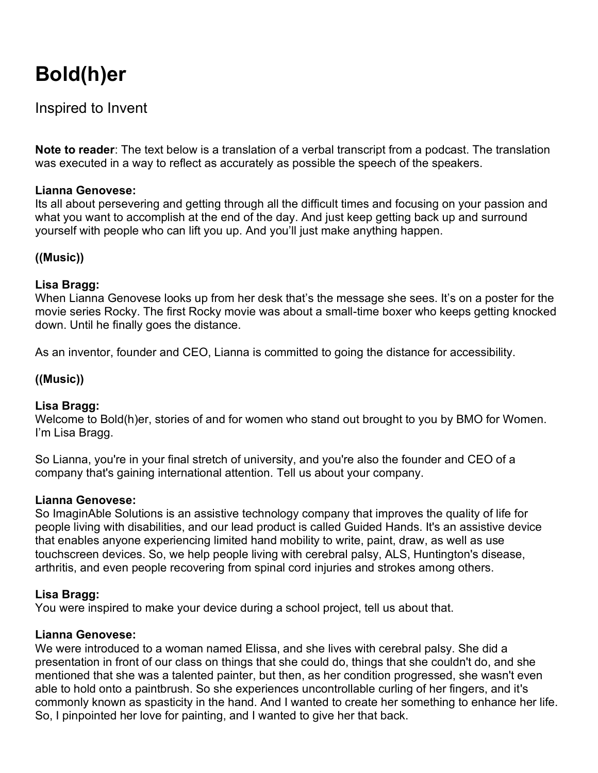# **Bold(h)er**

## Inspired to Invent

**Note to reader**: The text below is a translation of a verbal transcript from a podcast. The translation was executed in a way to reflect as accurately as possible the speech of the speakers.

#### **Lianna Genovese:**

Its all about persevering and getting through all the difficult times and focusing on your passion and what you want to accomplish at the end of the day. And just keep getting back up and surround yourself with people who can lift you up. And you'll just make anything happen.

## **((Music))**

#### **Lisa Bragg:**

When Lianna Genovese looks up from her desk that's the message she sees. It's on a poster for the movie series Rocky. The first Rocky movie was about a small-time boxer who keeps getting knocked down. Until he finally goes the distance.

As an inventor, founder and CEO, Lianna is committed to going the distance for accessibility.

## **((Music))**

#### **Lisa Bragg:**

Welcome to Bold(h)er, stories of and for women who stand out brought to you by BMO for Women. I'm Lisa Bragg.

So Lianna, you're in your final stretch of university, and you're also the founder and CEO of a company that's gaining international attention. Tell us about your company.

#### **Lianna Genovese:**

So ImaginAble Solutions is an assistive technology company that improves the quality of life for people living with disabilities, and our lead product is called Guided Hands. It's an assistive device that enables anyone experiencing limited hand mobility to write, paint, draw, as well as use touchscreen devices. So, we help people living with cerebral palsy, ALS, Huntington's disease, arthritis, and even people recovering from spinal cord injuries and strokes among others.

#### **Lisa Bragg:**

You were inspired to make your device during a school project, tell us about that.

#### **Lianna Genovese:**

We were introduced to a woman named Elissa, and she lives with cerebral palsy. She did a presentation in front of our class on things that she could do, things that she couldn't do, and she mentioned that she was a talented painter, but then, as her condition progressed, she wasn't even able to hold onto a paintbrush. So she experiences uncontrollable curling of her fingers, and it's commonly known as spasticity in the hand. And I wanted to create her something to enhance her life. So, I pinpointed her love for painting, and I wanted to give her that back.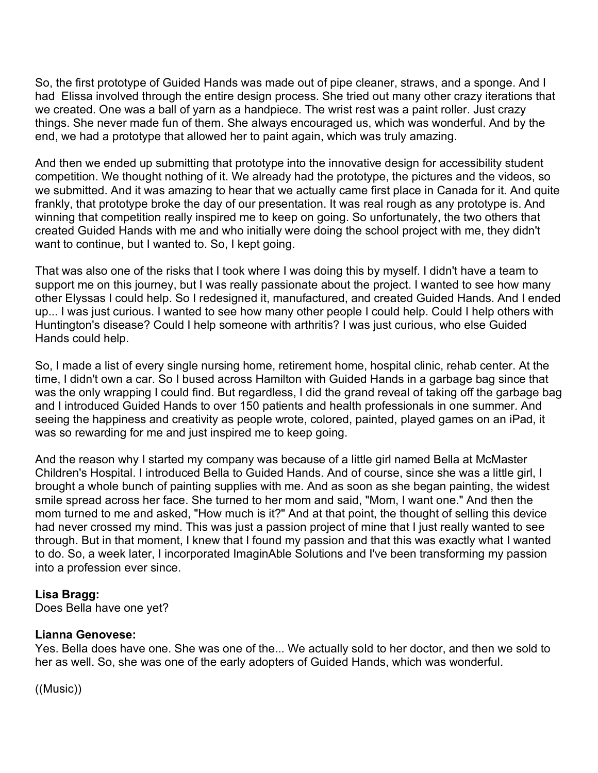So, the first prototype of Guided Hands was made out of pipe cleaner, straws, and a sponge. And I had Elissa involved through the entire design process. She tried out many other crazy iterations that we created. One was a ball of yarn as a handpiece. The wrist rest was a paint roller. Just crazy things. She never made fun of them. She always encouraged us, which was wonderful. And by the end, we had a prototype that allowed her to paint again, which was truly amazing.

And then we ended up submitting that prototype into the innovative design for accessibility student competition. We thought nothing of it. We already had the prototype, the pictures and the videos, so we submitted. And it was amazing to hear that we actually came first place in Canada for it. And quite frankly, that prototype broke the day of our presentation. It was real rough as any prototype is. And winning that competition really inspired me to keep on going. So unfortunately, the two others that created Guided Hands with me and who initially were doing the school project with me, they didn't want to continue, but I wanted to. So, I kept going.

That was also one of the risks that I took where I was doing this by myself. I didn't have a team to support me on this journey, but I was really passionate about the project. I wanted to see how many other Elyssas I could help. So I redesigned it, manufactured, and created Guided Hands. And I ended up... I was just curious. I wanted to see how many other people I could help. Could I help others with Huntington's disease? Could I help someone with arthritis? I was just curious, who else Guided Hands could help.

So, I made a list of every single nursing home, retirement home, hospital clinic, rehab center. At the time, I didn't own a car. So I bused across Hamilton with Guided Hands in a garbage bag since that was the only wrapping I could find. But regardless, I did the grand reveal of taking off the garbage bag and I introduced Guided Hands to over 150 patients and health professionals in one summer. And seeing the happiness and creativity as people wrote, colored, painted, played games on an iPad, it was so rewarding for me and just inspired me to keep going.

And the reason why I started my company was because of a little girl named Bella at McMaster Children's Hospital. I introduced Bella to Guided Hands. And of course, since she was a little girl, I brought a whole bunch of painting supplies with me. And as soon as she began painting, the widest smile spread across her face. She turned to her mom and said, "Mom, I want one." And then the mom turned to me and asked, "How much is it?" And at that point, the thought of selling this device had never crossed my mind. This was just a passion project of mine that I just really wanted to see through. But in that moment, I knew that I found my passion and that this was exactly what I wanted to do. So, a week later, I incorporated ImaginAble Solutions and I've been transforming my passion into a profession ever since.

#### **Lisa Bragg:**

Does Bella have one yet?

## **Lianna Genovese:**

Yes. Bella does have one. She was one of the... We actually sold to her doctor, and then we sold to her as well. So, she was one of the early adopters of Guided Hands, which was wonderful.

((Music))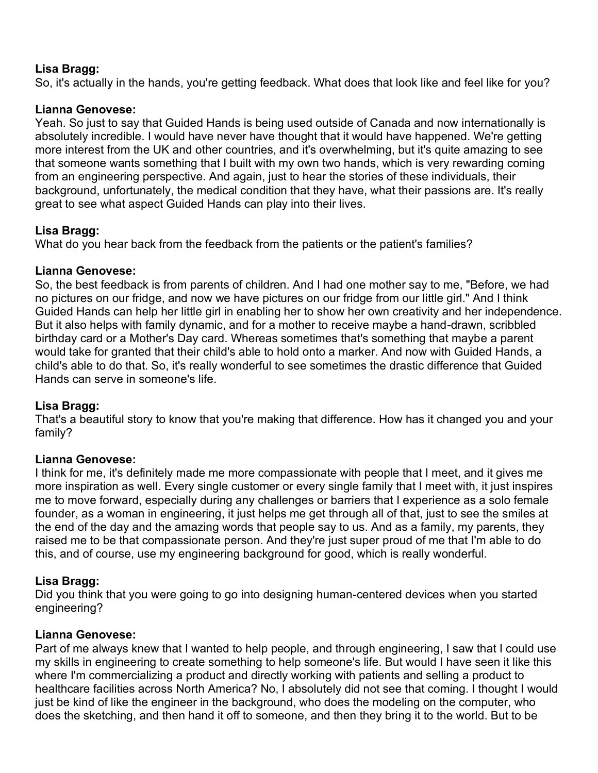#### **Lisa Bragg:**

So, it's actually in the hands, you're getting feedback. What does that look like and feel like for you?

#### **Lianna Genovese:**

Yeah. So just to say that Guided Hands is being used outside of Canada and now internationally is absolutely incredible. I would have never have thought that it would have happened. We're getting more interest from the UK and other countries, and it's overwhelming, but it's quite amazing to see that someone wants something that I built with my own two hands, which is very rewarding coming from an engineering perspective. And again, just to hear the stories of these individuals, their background, unfortunately, the medical condition that they have, what their passions are. It's really great to see what aspect Guided Hands can play into their lives.

#### **Lisa Bragg:**

What do you hear back from the feedback from the patients or the patient's families?

#### **Lianna Genovese:**

So, the best feedback is from parents of children. And I had one mother say to me, "Before, we had no pictures on our fridge, and now we have pictures on our fridge from our little girl." And I think Guided Hands can help her little girl in enabling her to show her own creativity and her independence. But it also helps with family dynamic, and for a mother to receive maybe a hand-drawn, scribbled birthday card or a Mother's Day card. Whereas sometimes that's something that maybe a parent would take for granted that their child's able to hold onto a marker. And now with Guided Hands, a child's able to do that. So, it's really wonderful to see sometimes the drastic difference that Guided Hands can serve in someone's life.

#### **Lisa Bragg:**

That's a beautiful story to know that you're making that difference. How has it changed you and your family?

#### **Lianna Genovese:**

I think for me, it's definitely made me more compassionate with people that I meet, and it gives me more inspiration as well. Every single customer or every single family that I meet with, it just inspires me to move forward, especially during any challenges or barriers that I experience as a solo female founder, as a woman in engineering, it just helps me get through all of that, just to see the smiles at the end of the day and the amazing words that people say to us. And as a family, my parents, they raised me to be that compassionate person. And they're just super proud of me that I'm able to do this, and of course, use my engineering background for good, which is really wonderful.

## **Lisa Bragg:**

Did you think that you were going to go into designing human-centered devices when you started engineering?

## **Lianna Genovese:**

Part of me always knew that I wanted to help people, and through engineering, I saw that I could use my skills in engineering to create something to help someone's life. But would I have seen it like this where I'm commercializing a product and directly working with patients and selling a product to healthcare facilities across North America? No, I absolutely did not see that coming. I thought I would just be kind of like the engineer in the background, who does the modeling on the computer, who does the sketching, and then hand it off to someone, and then they bring it to the world. But to be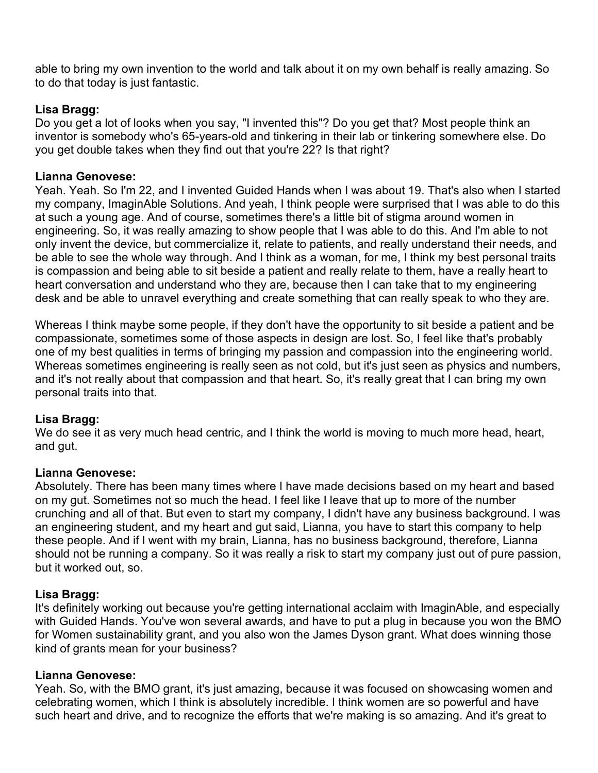able to bring my own invention to the world and talk about it on my own behalf is really amazing. So to do that today is just fantastic.

#### **Lisa Bragg:**

Do you get a lot of looks when you say, "I invented this"? Do you get that? Most people think an inventor is somebody who's 65-years-old and tinkering in their lab or tinkering somewhere else. Do you get double takes when they find out that you're 22? Is that right?

#### **Lianna Genovese:**

Yeah. Yeah. So I'm 22, and I invented Guided Hands when I was about 19. That's also when I started my company, ImaginAble Solutions. And yeah, I think people were surprised that I was able to do this at such a young age. And of course, sometimes there's a little bit of stigma around women in engineering. So, it was really amazing to show people that I was able to do this. And I'm able to not only invent the device, but commercialize it, relate to patients, and really understand their needs, and be able to see the whole way through. And I think as a woman, for me, I think my best personal traits is compassion and being able to sit beside a patient and really relate to them, have a really heart to heart conversation and understand who they are, because then I can take that to my engineering desk and be able to unravel everything and create something that can really speak to who they are.

Whereas I think maybe some people, if they don't have the opportunity to sit beside a patient and be compassionate, sometimes some of those aspects in design are lost. So, I feel like that's probably one of my best qualities in terms of bringing my passion and compassion into the engineering world. Whereas sometimes engineering is really seen as not cold, but it's just seen as physics and numbers, and it's not really about that compassion and that heart. So, it's really great that I can bring my own personal traits into that.

#### **Lisa Bragg:**

We do see it as very much head centric, and I think the world is moving to much more head, heart, and gut.

#### **Lianna Genovese:**

Absolutely. There has been many times where I have made decisions based on my heart and based on my gut. Sometimes not so much the head. I feel like I leave that up to more of the number crunching and all of that. But even to start my company, I didn't have any business background. I was an engineering student, and my heart and gut said, Lianna, you have to start this company to help these people. And if I went with my brain, Lianna, has no business background, therefore, Lianna should not be running a company. So it was really a risk to start my company just out of pure passion, but it worked out, so.

## **Lisa Bragg:**

It's definitely working out because you're getting international acclaim with ImaginAble, and especially with Guided Hands. You've won several awards, and have to put a plug in because you won the BMO for Women sustainability grant, and you also won the James Dyson grant. What does winning those kind of grants mean for your business?

#### **Lianna Genovese:**

Yeah. So, with the BMO grant, it's just amazing, because it was focused on showcasing women and celebrating women, which I think is absolutely incredible. I think women are so powerful and have such heart and drive, and to recognize the efforts that we're making is so amazing. And it's great to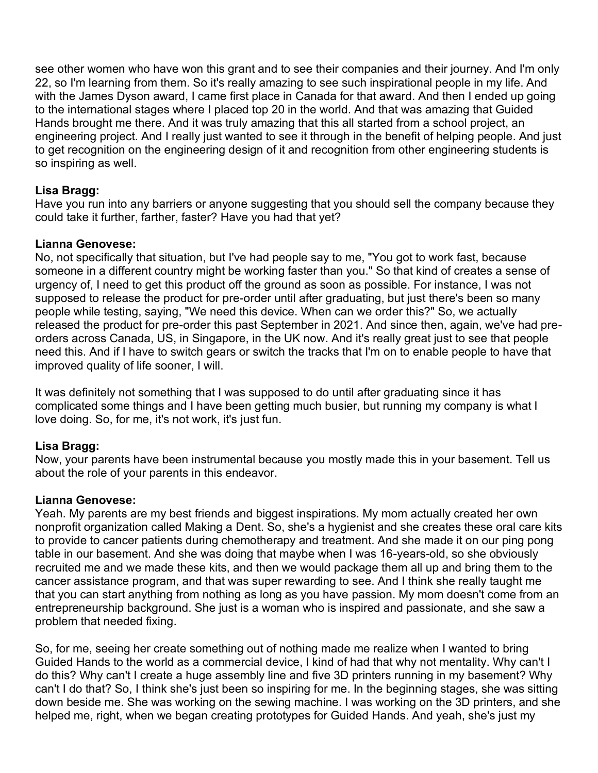see other women who have won this grant and to see their companies and their journey. And I'm only 22, so I'm learning from them. So it's really amazing to see such inspirational people in my life. And with the James Dyson award, I came first place in Canada for that award. And then I ended up going to the international stages where I placed top 20 in the world. And that was amazing that Guided Hands brought me there. And it was truly amazing that this all started from a school project, an engineering project. And I really just wanted to see it through in the benefit of helping people. And just to get recognition on the engineering design of it and recognition from other engineering students is so inspiring as well.

#### **Lisa Bragg:**

Have you run into any barriers or anyone suggesting that you should sell the company because they could take it further, farther, faster? Have you had that yet?

#### **Lianna Genovese:**

No, not specifically that situation, but I've had people say to me, "You got to work fast, because someone in a different country might be working faster than you." So that kind of creates a sense of urgency of, I need to get this product off the ground as soon as possible. For instance, I was not supposed to release the product for pre-order until after graduating, but just there's been so many people while testing, saying, "We need this device. When can we order this?" So, we actually released the product for pre-order this past September in 2021. And since then, again, we've had preorders across Canada, US, in Singapore, in the UK now. And it's really great just to see that people need this. And if I have to switch gears or switch the tracks that I'm on to enable people to have that improved quality of life sooner, I will.

It was definitely not something that I was supposed to do until after graduating since it has complicated some things and I have been getting much busier, but running my company is what I love doing. So, for me, it's not work, it's just fun.

## **Lisa Bragg:**

Now, your parents have been instrumental because you mostly made this in your basement. Tell us about the role of your parents in this endeavor.

#### **Lianna Genovese:**

Yeah. My parents are my best friends and biggest inspirations. My mom actually created her own nonprofit organization called Making a Dent. So, she's a hygienist and she creates these oral care kits to provide to cancer patients during chemotherapy and treatment. And she made it on our ping pong table in our basement. And she was doing that maybe when I was 16-years-old, so she obviously recruited me and we made these kits, and then we would package them all up and bring them to the cancer assistance program, and that was super rewarding to see. And I think she really taught me that you can start anything from nothing as long as you have passion. My mom doesn't come from an entrepreneurship background. She just is a woman who is inspired and passionate, and she saw a problem that needed fixing.

So, for me, seeing her create something out of nothing made me realize when I wanted to bring Guided Hands to the world as a commercial device, I kind of had that why not mentality. Why can't I do this? Why can't I create a huge assembly line and five 3D printers running in my basement? Why can't I do that? So, I think she's just been so inspiring for me. In the beginning stages, she was sitting down beside me. She was working on the sewing machine. I was working on the 3D printers, and she helped me, right, when we began creating prototypes for Guided Hands. And yeah, she's just my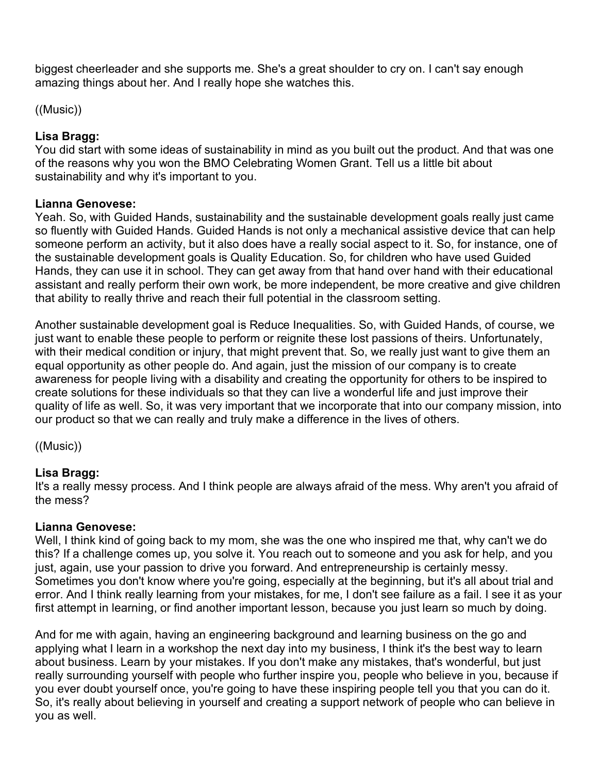biggest cheerleader and she supports me. She's a great shoulder to cry on. I can't say enough amazing things about her. And I really hope she watches this.

((Music))

## **Lisa Bragg:**

You did start with some ideas of sustainability in mind as you built out the product. And that was one of the reasons why you won the BMO Celebrating Women Grant. Tell us a little bit about sustainability and why it's important to you.

## **Lianna Genovese:**

Yeah. So, with Guided Hands, sustainability and the sustainable development goals really just came so fluently with Guided Hands. Guided Hands is not only a mechanical assistive device that can help someone perform an activity, but it also does have a really social aspect to it. So, for instance, one of the sustainable development goals is Quality Education. So, for children who have used Guided Hands, they can use it in school. They can get away from that hand over hand with their educational assistant and really perform their own work, be more independent, be more creative and give children that ability to really thrive and reach their full potential in the classroom setting.

Another sustainable development goal is Reduce Inequalities. So, with Guided Hands, of course, we just want to enable these people to perform or reignite these lost passions of theirs. Unfortunately, with their medical condition or injury, that might prevent that. So, we really just want to give them an equal opportunity as other people do. And again, just the mission of our company is to create awareness for people living with a disability and creating the opportunity for others to be inspired to create solutions for these individuals so that they can live a wonderful life and just improve their quality of life as well. So, it was very important that we incorporate that into our company mission, into our product so that we can really and truly make a difference in the lives of others.

((Music))

## **Lisa Bragg:**

It's a really messy process. And I think people are always afraid of the mess. Why aren't you afraid of the mess?

## **Lianna Genovese:**

Well, I think kind of going back to my mom, she was the one who inspired me that, why can't we do this? If a challenge comes up, you solve it. You reach out to someone and you ask for help, and you just, again, use your passion to drive you forward. And entrepreneurship is certainly messy. Sometimes you don't know where you're going, especially at the beginning, but it's all about trial and error. And I think really learning from your mistakes, for me, I don't see failure as a fail. I see it as your first attempt in learning, or find another important lesson, because you just learn so much by doing.

And for me with again, having an engineering background and learning business on the go and applying what I learn in a workshop the next day into my business, I think it's the best way to learn about business. Learn by your mistakes. If you don't make any mistakes, that's wonderful, but just really surrounding yourself with people who further inspire you, people who believe in you, because if you ever doubt yourself once, you're going to have these inspiring people tell you that you can do it. So, it's really about believing in yourself and creating a support network of people who can believe in you as well.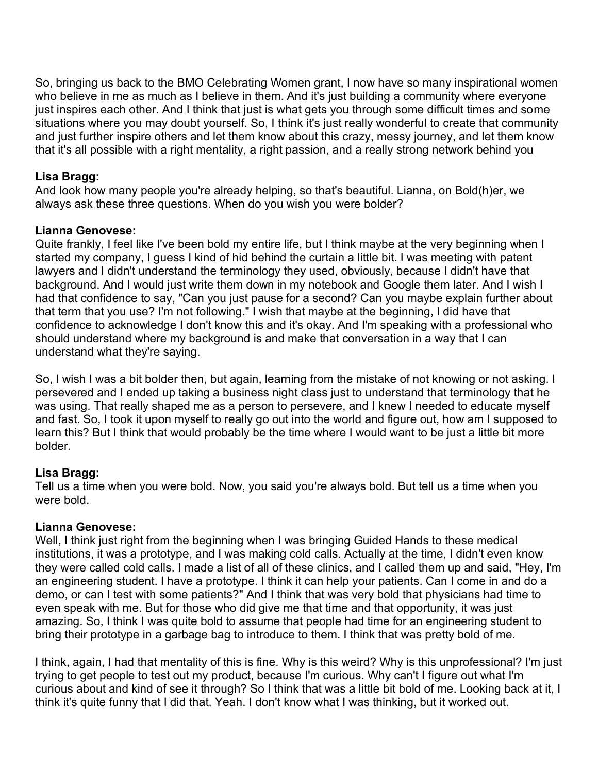So, bringing us back to the BMO Celebrating Women grant, I now have so many inspirational women who believe in me as much as I believe in them. And it's just building a community where everyone just inspires each other. And I think that just is what gets you through some difficult times and some situations where you may doubt yourself. So, I think it's just really wonderful to create that community and just further inspire others and let them know about this crazy, messy journey, and let them know that it's all possible with a right mentality, a right passion, and a really strong network behind you

### **Lisa Bragg:**

And look how many people you're already helping, so that's beautiful. Lianna, on Bold(h)er, we always ask these three questions. When do you wish you were bolder?

#### **Lianna Genovese:**

Quite frankly, I feel like I've been bold my entire life, but I think maybe at the very beginning when I started my company, I guess I kind of hid behind the curtain a little bit. I was meeting with patent lawyers and I didn't understand the terminology they used, obviously, because I didn't have that background. And I would just write them down in my notebook and Google them later. And I wish I had that confidence to say, "Can you just pause for a second? Can you maybe explain further about that term that you use? I'm not following." I wish that maybe at the beginning, I did have that confidence to acknowledge I don't know this and it's okay. And I'm speaking with a professional who should understand where my background is and make that conversation in a way that I can understand what they're saying.

So, I wish I was a bit bolder then, but again, learning from the mistake of not knowing or not asking. I persevered and I ended up taking a business night class just to understand that terminology that he was using. That really shaped me as a person to persevere, and I knew I needed to educate myself and fast. So, I took it upon myself to really go out into the world and figure out, how am I supposed to learn this? But I think that would probably be the time where I would want to be just a little bit more bolder.

## **Lisa Bragg:**

Tell us a time when you were bold. Now, you said you're always bold. But tell us a time when you were bold.

## **Lianna Genovese:**

Well, I think just right from the beginning when I was bringing Guided Hands to these medical institutions, it was a prototype, and I was making cold calls. Actually at the time, I didn't even know they were called cold calls. I made a list of all of these clinics, and I called them up and said, "Hey, I'm an engineering student. I have a prototype. I think it can help your patients. Can I come in and do a demo, or can I test with some patients?" And I think that was very bold that physicians had time to even speak with me. But for those who did give me that time and that opportunity, it was just amazing. So, I think I was quite bold to assume that people had time for an engineering student to bring their prototype in a garbage bag to introduce to them. I think that was pretty bold of me.

I think, again, I had that mentality of this is fine. Why is this weird? Why is this unprofessional? I'm just trying to get people to test out my product, because I'm curious. Why can't I figure out what I'm curious about and kind of see it through? So I think that was a little bit bold of me. Looking back at it, I think it's quite funny that I did that. Yeah. I don't know what I was thinking, but it worked out.